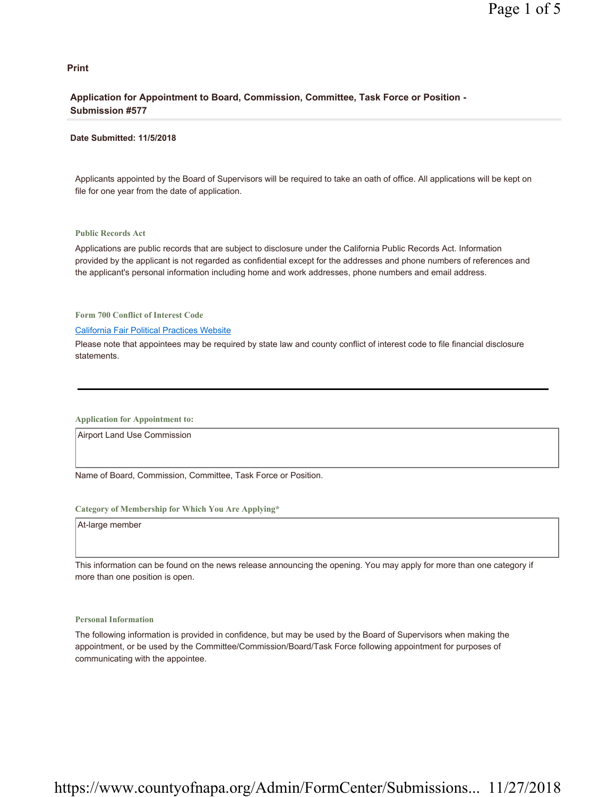## **Print**

## **Application for Appointment to Board, Commission, Committee, Task Force or Position - Submission #577**

#### **Date Submitted: 11/5/2018**

Applicants appointed by the Board of Supervisors will be required to take an oath of office. All applications will be kept on file for one year from the date of application.

### **Public Records Act**

Applications are public records that are subject to disclosure under the California Public Records Act. Information provided by the applicant is not regarded as confidential except for the addresses and phone numbers of references and the applicant's personal information including home and work addresses, phone numbers and email address.

**Form 700 Conflict of Interest Code**

#### California Fair Political Practices Website

Please note that appointees may be required by state law and county conflict of interest code to file financial disclosure statements.

**Application for Appointment to:** 

Airport Land Use Commission

Name of Board, Commission, Committee, Task Force or Position.

### **Category of Membership for Which You Are Applying\***

At-large member

This information can be found on the news release announcing the opening. You may apply for more than one category if more than one position is open.

## **Personal Information**

The following information is provided in confidence, but may be used by the Board of Supervisors when making the appointment, or be used by the Committee/Commission/Board/Task Force following appointment for purposes of communicating with the appointee.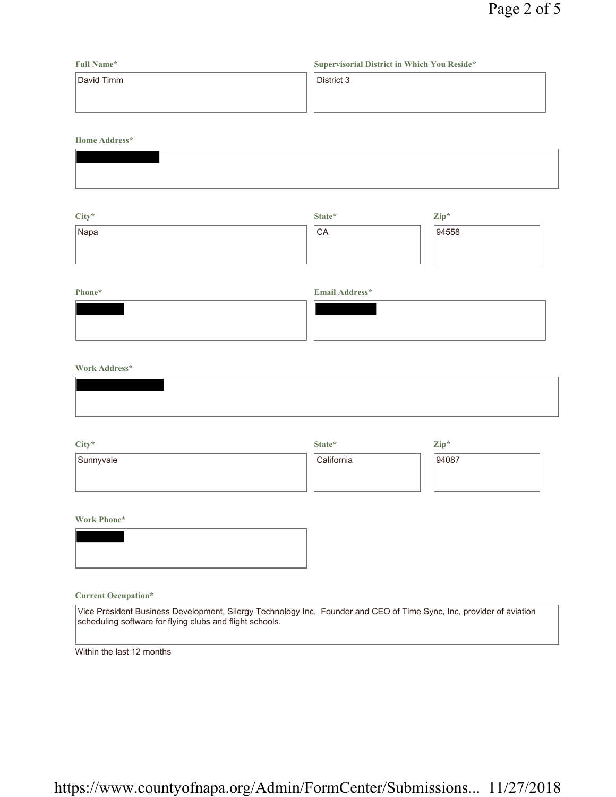| <b>Full Name*</b> | Supervisorial District in Which You Reside* |
|-------------------|---------------------------------------------|
| David Timm        | District 3                                  |
|                   |                                             |
|                   |                                             |

**Home Address\***

| $City*$ | State* | $\mathbf{Zip}^*$ |
|---------|--------|------------------|
| Napa    | ' CA   | 94558            |
|         |        |                  |
|         |        |                  |

# **Phone\* Email Address\***

## **Work Address\***

| City*     | State*     | $\mathbf{Zip}^*$ |
|-----------|------------|------------------|
| Sunnyvale | California | 94087            |
|           |            |                  |
|           |            |                  |

**Work Phone\***

## **Current Occupation\***

Vice President Business Development, Silergy Technology Inc, Founder and CEO of Time Sync, Inc, provider of aviation scheduling software for flying clubs and flight schools.

Within the last 12 months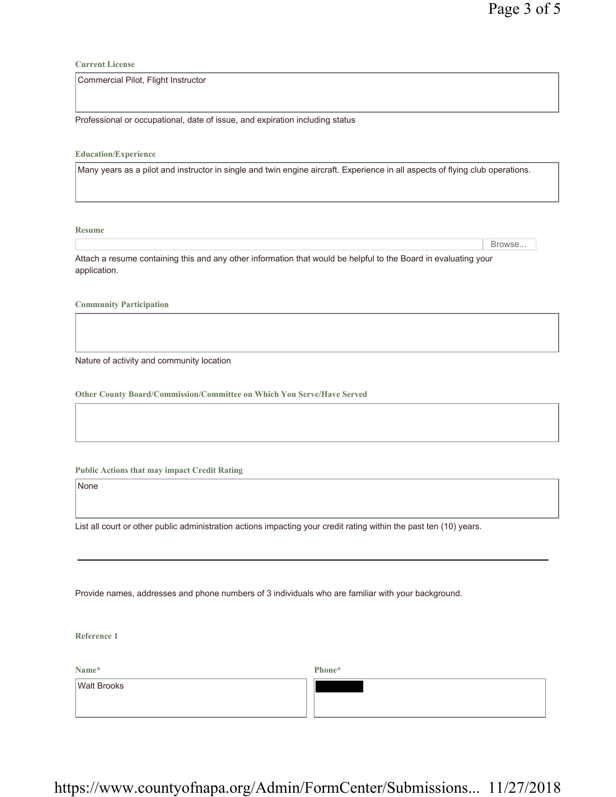**Current License**

Commercial Pilot, Flight Instructor

Professional or occupational, date of issue, and expiration including status

**Education/Experience**

Many years as a pilot and instructor in single and twin engine aircraft. Experience in all aspects of flying club operations.

**Resume**

Browse...

Attach a resume containing this and any other information that would be helpful to the Board in evaluating your application.

**Community Participation**

Nature of activity and community location

**Other County Board/Commission/Committee on Which You Serve/Have Served**

**Public Actions that may impact Credit Rating**

None

List all court or other public administration actions impacting your credit rating within the past ten (10) years.

Provide names, addresses and phone numbers of 3 individuals who are familiar with your background.

**Reference 1**

**Phone\***

Walt Brooks

**Name\***

https://www.countyofnapa.org/Admin/FormCenter/Submissions... 11/27/2018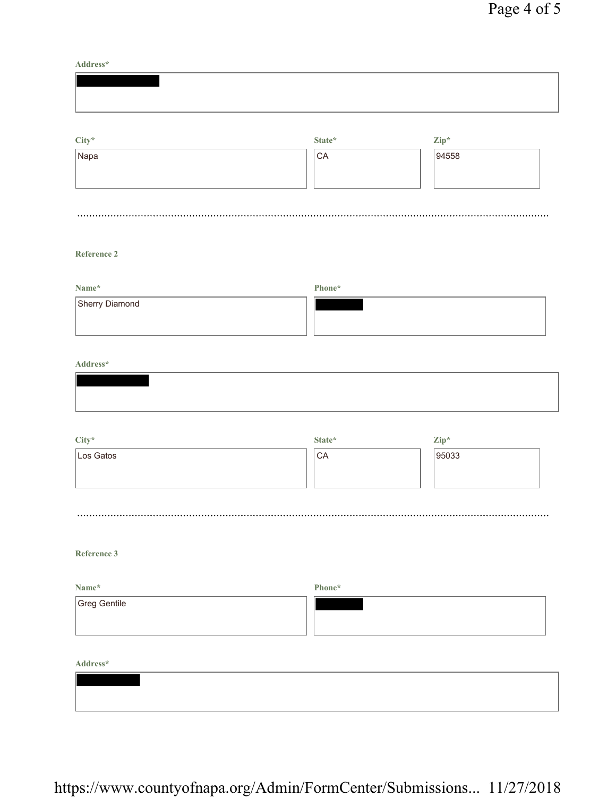**Address\***

| $\mathrm{City}^{\star}$ | State* | $\mathbf{Zip}^*$ |  |
|-------------------------|--------|------------------|--|
| Napa                    | CA     | 94558            |  |

# **Reference 2**

| Name*          | Phone* |
|----------------|--------|
| Sherry Diamond |        |

## **Address\***

| City*     | State*         | Zip*  |
|-----------|----------------|-------|
| Los Gatos | $\mathsf{LCA}$ | 95033 |
|           |                |       |
|           |                |       |

# **Reference 3**

| Name*        | Phone* |
|--------------|--------|
| Greg Gentile |        |
|              |        |
|              |        |

**Address\***